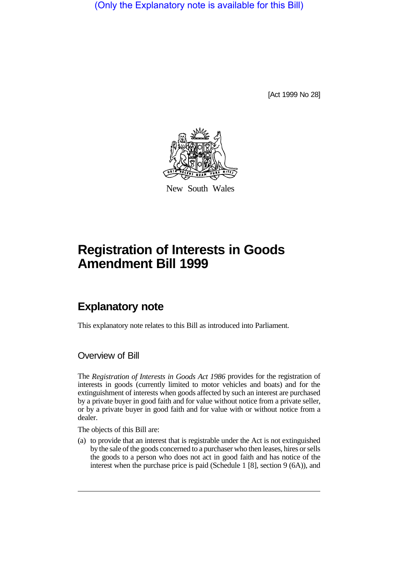(Only the Explanatory note is available for this Bill)

[Act 1999 No 28]



New South Wales

## **Registration of Interests in Goods Amendment Bill 1999**

## **Explanatory note**

This explanatory note relates to this Bill as introduced into Parliament.

Overview of Bill

The *Registration of Interests in Goods Act 1986* provides for the registration of interests in goods (currently limited to motor vehicles and boats) and for the extinguishment of interests when goods affected by such an interest are purchased by a private buyer in good faith and for value without notice from a private seller, or by a private buyer in good faith and for value with or without notice from a dealer.

The objects of this Bill are:

(a) to provide that an interest that is registrable under the Act is not extinguished by the sale of the goods concerned to a purchaser who then leases, hires or sells the goods to a person who does not act in good faith and has notice of the interest when the purchase price is paid (Schedule 1 [8], section 9 (6A)), and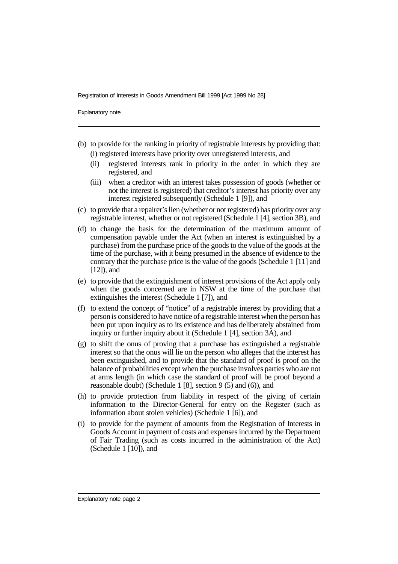Registration of Interests in Goods Amendment Bill 1999 [Act 1999 No 28]

Explanatory note

- (b) to provide for the ranking in priority of registrable interests by providing that: (i) registered interests have priority over unregistered interests, and
	- (ii) registered interests rank in priority in the order in which they are registered, and
	- (iii) when a creditor with an interest takes possession of goods (whether or not the interest is registered) that creditor's interest has priority over any interest registered subsequently (Schedule 1 [9]), and
- (c) to provide that a repairer's lien (whether or not registered) has priority over any registrable interest, whether or not registered (Schedule 1 [4], section 3B), and
- (d) to change the basis for the determination of the maximum amount of compensation payable under the Act (when an interest is extinguished by a purchase) from the purchase price of the goods to the value of the goods at the time of the purchase, with it being presumed in the absence of evidence to the contrary that the purchase price is the value of the goods (Schedule 1 [11] and [12]), and
- (e) to provide that the extinguishment of interest provisions of the Act apply only when the goods concerned are in NSW at the time of the purchase that extinguishes the interest (Schedule 1 [7]), and
- (f) to extend the concept of "notice" of a registrable interest by providing that a person is considered to have notice of a registrable interest when the person has been put upon inquiry as to its existence and has deliberately abstained from inquiry or further inquiry about it (Schedule 1 [4], section 3A), and
- (g) to shift the onus of proving that a purchase has extinguished a registrable interest so that the onus will lie on the person who alleges that the interest has been extinguished, and to provide that the standard of proof is proof on the balance of probabilities except when the purchase involves parties who are not at arms length (in which case the standard of proof will be proof beyond a reasonable doubt) (Schedule 1 [8], section 9 (5) and (6)), and
- (h) to provide protection from liability in respect of the giving of certain information to the Director-General for entry on the Register (such as information about stolen vehicles) (Schedule 1 [6]), and
- (i) to provide for the payment of amounts from the Registration of Interests in Goods Account in payment of costs and expenses incurred by the Department of Fair Trading (such as costs incurred in the administration of the Act) (Schedule 1 [10]), and